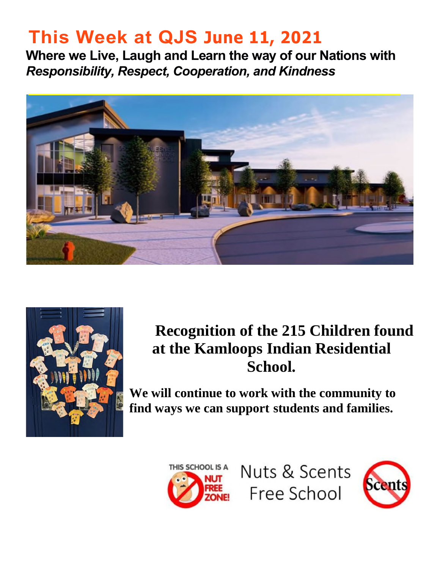# **This Week at QJS June 11, 2021**

**Where we Live, Laugh and Learn the way of our Nations with**  *Responsibility, Respect, Cooperation, and Kindness* 





## **Recognition of the 215 Children found at the Kamloops Indian Residential School.**

**We will continue to work with the community to find ways we can support students and families.** 



Nuts & Scents Free School

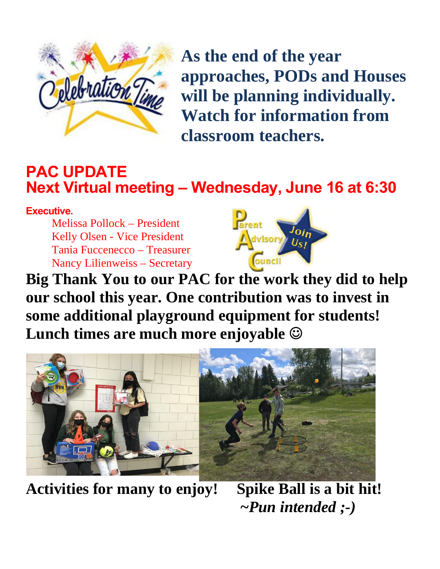

**As the end of the year approaches, PODs and Houses will be planning individually. Watch for information from classroom teachers.** 

### **PAC UPDATE Next Virtual meeting – Wednesday, June 16 at 6:30**

**Executive.** 

Melissa Pollock – President Kelly Olsen - Vice President Tania Fuccenecco – Treasurer Nancy Lilienweiss – Secretary



**Big Thank You to our PAC for the work they did to help our school this year. One contribution was to invest in some additional playground equipment for students! Lunch times are much more enjoyable** 



**Activities for many to enjoy! Spike Ball is a bit hit! ~***Pun intended ;-)*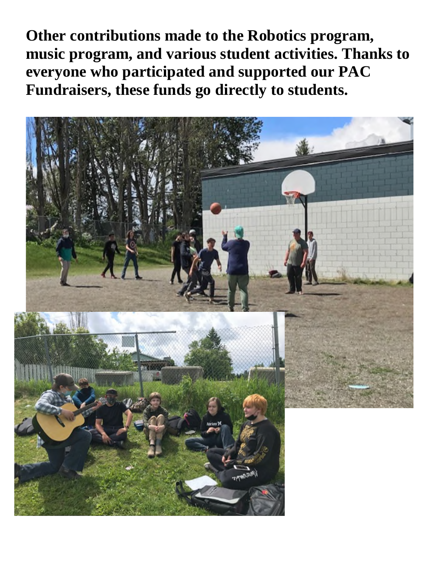**Other contributions made to the Robotics program, music program, and various student activities. Thanks to everyone who participated and supported our PAC Fundraisers, these funds go directly to students.** 

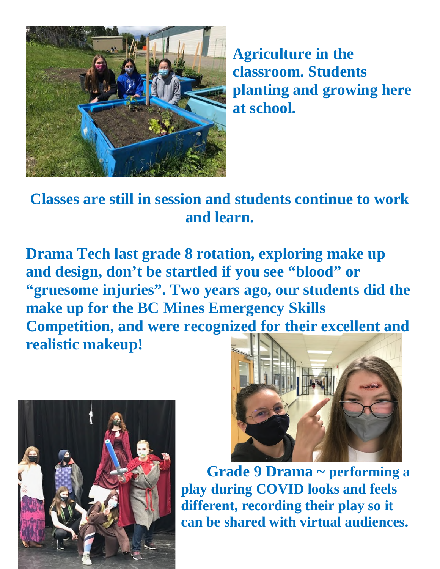

**Agriculture in the classroom. Students planting and growing here at school.** 

**Classes are still in session and students continue to work and learn.** 

**Drama Tech last grade 8 rotation, exploring make up and design, don't be startled if you see "blood" or "gruesome injuries". Two years ago, our students did the make up for the BC Mines Emergency Skills Competition, and were recognized for their excellent and realistic makeup!** 





**Grade 9 Drama ~ performing a play during COVID looks and feels different, recording their play so it can be shared with virtual audiences.**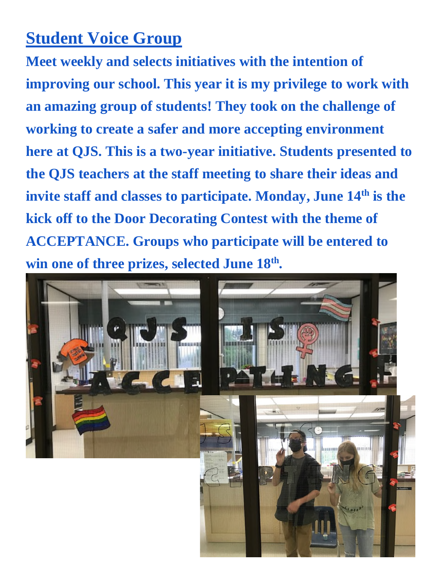## **Student Voice Group**

**Meet weekly and selects initiatives with the intention of improving our school. This year it is my privilege to work with an amazing group of students! They took on the challenge of working to create a safer and more accepting environment here at QJS. This is a two-year initiative. Students presented to the QJS teachers at the staff meeting to share their ideas and invite staff and classes to participate. Monday, June 14th is the kick off to the Door Decorating Contest with the theme of ACCEPTANCE. Groups who participate will be entered to win one of three prizes, selected June 18th .** 

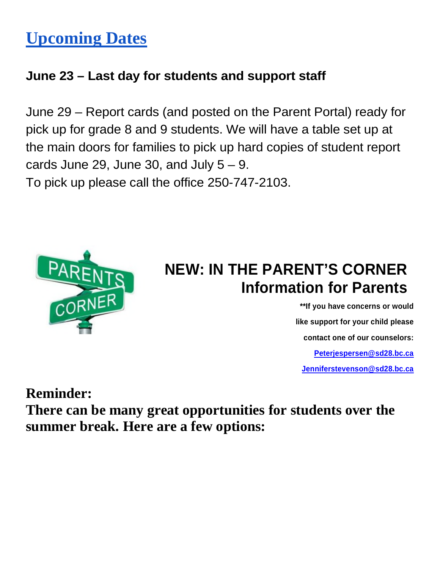# **Upcoming Dates**

#### **June 23 – Last day for students and support staff**

June 29 – Report cards (and posted on the Parent Portal) ready for pick up for grade 8 and 9 students. We will have a table set up at the main doors for families to pick up hard copies of student report cards June 29, June 30, and July  $5 - 9$ . To pick up please call the office 250-747-2103.



## **NEW: IN THE PARENT'S CORNER Information for Parents**

**\*\*If you have concerns or would like support for your child please contact one of our counselors: [Peterjespersen@sd28.bc.ca](mailto:Peterjespersen@sd28.bc.ca) [Jenniferstevenson@sd28.bc.ca](mailto:Jenniferstevenson@sd28.bc.ca)**

**Reminder:** 

**There can be many great opportunities for students over the summer break. Here are a few options:**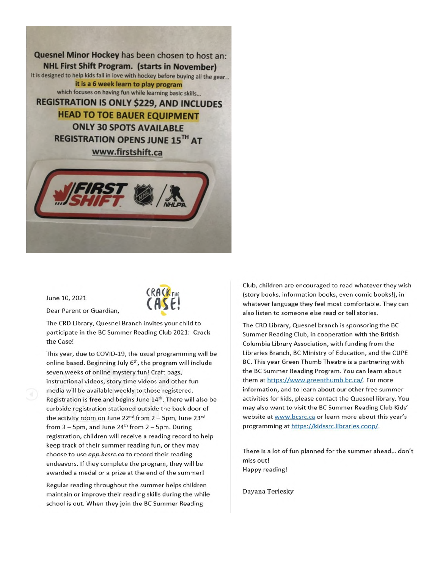Quesnel Minor Hockey has been chosen to host an: **NHL First Shift Program. (starts in November)** It is designed to help kids fall in love with hockey before buying all the gear... it is a 6 week learn to play program which focuses on having fun while learning basic skills... **REGISTRATION IS ONLY \$229, AND INCLUDES HEAD TO TOE BAUER EQUIPMENT ONLY 30 SPOTS AVAILABLE REGISTRATION OPENS JUNE 15TH AT** www.firstshift.ca

June 10, 2021

Dear Parent or Guardian,



The CRD Library, Quesnel Branch invites your child to participate in the BC Summer Reading Club 2021: Crack the Case!

This year, due to COVID-19, the usual programming will be online based. Beginning July 6<sup>th</sup>, the program will include seven weeks of online mystery fun! Craft bags, instructional videos, story time videos and other fun media will be available weekly to those registered. Registration is free and begins June 14th. There will also be curbside registration stationed outside the back door of the activity room on June 22<sup>nd</sup> from 2 - 5pm, June 23<sup>rd</sup> from  $3 - 5$ pm, and June  $24<sup>th</sup>$  from  $2 - 5$ pm. During registration, children will receive a reading record to help keep track of their summer reading fun, or they may choose to use app.bcsrc.ca to record their reading endeavors. If they complete the program, they will be awarded a medal or a prize at the end of the summer!

Regular reading throughout the summer helps children maintain or improve their reading skills during the while school is out. When they join the BC Summer Reading

Club, children are encouraged to read whatever they wish (story books, information books, even comic books!), in whatever language they feel most comfortable. They can also listen to someone else read or tell stories.

The CRD Library, Quesnel branch is sponsoring the BC Summer Reading Club, in cooperation with the British Columbia Library Association, with funding from the Libraries Branch, BC Ministry of Education, and the CUPE BC. This year Green Thumb Theatre is a partnering with the BC Summer Reading Program. You can learn about them at https://www.greenthumb.bc.ca/. For more information, and to learn about our other free summer activities for kids, please contact the Quesnel library. You may also want to visit the BC Summer Reading Club Kids' website at www.bcsrc.ca or learn more about this year's programming at https://kidssrc.libraries.coop/.

There is a lot of fun planned for the summer ahead... don't miss out! Happy reading!

Dayana Terlesky